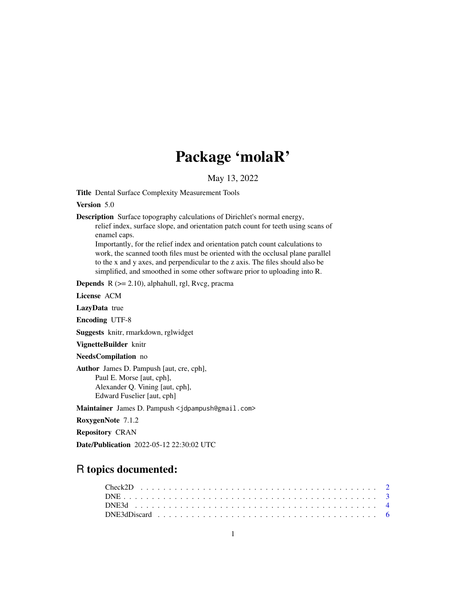# Package 'molaR'

May 13, 2022

<span id="page-0-0"></span>Title Dental Surface Complexity Measurement Tools

Version 5.0

Description Surface topography calculations of Dirichlet's normal energy,

relief index, surface slope, and orientation patch count for teeth using scans of enamel caps.

Importantly, for the relief index and orientation patch count calculations to work, the scanned tooth files must be oriented with the occlusal plane parallel to the x and y axes, and perpendicular to the z axis. The files should also be simplified, and smoothed in some other software prior to uploading into R.

**Depends**  $R$  ( $>= 2.10$ ), alphahull, rgl, Rvcg, pracma

License ACM

LazyData true

Encoding UTF-8

Suggests knitr, rmarkdown, rglwidget

VignetteBuilder knitr

NeedsCompilation no

Author James D. Pampush [aut, cre, cph], Paul E. Morse [aut, cph], Alexander Q. Vining [aut, cph], Edward Fuselier [aut, cph]

Maintainer James D. Pampush <jdpampush@gmail.com>

RoxygenNote 7.1.2

Repository CRAN

Date/Publication 2022-05-12 22:30:02 UTC

# R topics documented: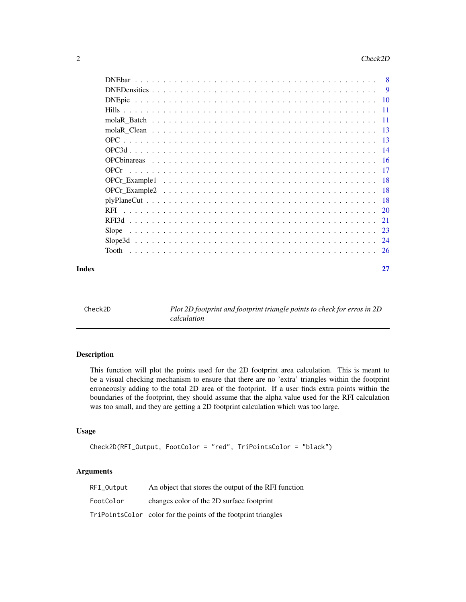<span id="page-1-0"></span>

|       | <b>DNE</b> bar |    |
|-------|----------------|----|
|       |                |    |
|       |                |    |
|       |                |    |
|       |                |    |
|       |                |    |
|       |                |    |
|       |                |    |
|       |                |    |
|       |                |    |
|       |                |    |
|       |                |    |
|       |                |    |
|       | RFI.           |    |
|       | RFI3d          |    |
|       | Slope          |    |
|       |                |    |
|       |                |    |
| Index |                | 27 |

<span id="page-1-1"></span>Check2D *Plot 2D footprint and footprint triangle points to check for erros in 2D calculation*

#### Description

This function will plot the points used for the 2D footprint area calculation. This is meant to be a visual checking mechanism to ensure that there are no 'extra' triangles within the footprint erroneously adding to the total 2D area of the footprint. If a user finds extra points within the boundaries of the footprint, they should assume that the alpha value used for the RFI calculation was too small, and they are getting a 2D footprint calculation which was too large.

# Usage

```
Check2D(RFI_Output, FootColor = "red", TriPointsColor = "black")
```
#### Arguments

| RFI Output | An object that stores the output of the RFI function           |
|------------|----------------------------------------------------------------|
| FootColor  | changes color of the 2D surface footprint                      |
|            | TriPointsColor color for the points of the footprint triangles |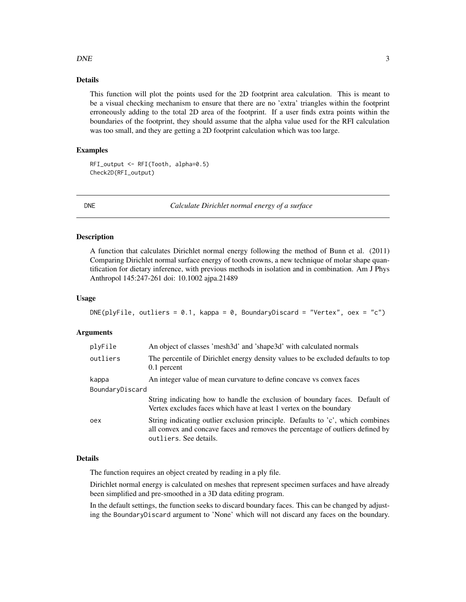#### <span id="page-2-0"></span> $DNE$  3

# Details

This function will plot the points used for the 2D footprint area calculation. This is meant to be a visual checking mechanism to ensure that there are no 'extra' triangles within the footprint erroneously adding to the total 2D area of the footprint. If a user finds extra points within the boundaries of the footprint, they should assume that the alpha value used for the RFI calculation was too small, and they are getting a 2D footprint calculation which was too large.

# Examples

RFI\_output <- RFI(Tooth, alpha=0.5) Check2D(RFI\_output)

<span id="page-2-1"></span>

DNE *Calculate Dirichlet normal energy of a surface*

#### Description

A function that calculates Dirichlet normal energy following the method of Bunn et al. (2011) Comparing Dirichlet normal surface energy of tooth crowns, a new technique of molar shape quantification for dietary inference, with previous methods in isolation and in combination. Am J Phys Anthropol 145:247-261 doi: 10.1002 ajpa.21489

#### Usage

```
DNE(plyFile, outliers = 0.1, kappa = 0, BoundaryDiscard = "Vertex", oex = "c")
```
#### Arguments

| plyFile         | An object of classes 'mesh3d' and 'shape3d' with calculated normals                                                                                                                        |
|-----------------|--------------------------------------------------------------------------------------------------------------------------------------------------------------------------------------------|
| outliers        | The percentile of Dirichlet energy density values to be excluded defaults to top<br>0.1 percent                                                                                            |
| kappa           | An integer value of mean curvature to define concave vs convex faces                                                                                                                       |
| BoundaryDiscard |                                                                                                                                                                                            |
|                 | String indicating how to handle the exclusion of boundary faces. Default of<br>Vertex excludes faces which have at least 1 vertex on the boundary                                          |
| oex             | String indicating outlier exclusion principle. Defaults to 'c', which combines<br>all convex and concave faces and removes the percentage of outliers defined by<br>outliers. See details. |

#### Details

The function requires an object created by reading in a ply file.

Dirichlet normal energy is calculated on meshes that represent specimen surfaces and have already been simplified and pre-smoothed in a 3D data editing program.

In the default settings, the function seeks to discard boundary faces. This can be changed by adjusting the BoundaryDiscard argument to 'None' which will not discard any faces on the boundary.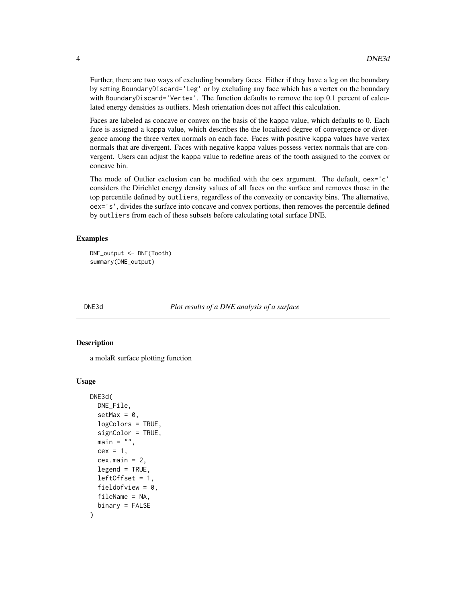Further, there are two ways of excluding boundary faces. Either if they have a leg on the boundary by setting BoundaryDiscard='Leg' or by excluding any face which has a vertex on the boundary with BoundaryDiscard='Vertex'. The function defaults to remove the top 0.1 percent of calculated energy densities as outliers. Mesh orientation does not affect this calculation.

Faces are labeled as concave or convex on the basis of the kappa value, which defaults to 0. Each face is assigned a kappa value, which describes the the localized degree of convergence or divergence among the three vertex normals on each face. Faces with positive kappa values have vertex normals that are divergent. Faces with negative kappa values possess vertex normals that are convergent. Users can adjust the kappa value to redefine areas of the tooth assigned to the convex or concave bin.

The mode of Outlier exclusion can be modified with the oex argument. The default, oex='c' considers the Dirichlet energy density values of all faces on the surface and removes those in the top percentile defined by outliers, regardless of the convexity or concavity bins. The alternative, oex='s', divides the surface into concave and convex portions, then removes the percentile defined by outliers from each of these subsets before calculating total surface DNE.

#### Examples

```
DNE_output <- DNE(Tooth)
summary(DNE_output)
```
DNE3d *Plot results of a DNE analysis of a surface*

#### Description

a molaR surface plotting function

```
DNE3d(
  DNE_File,
  setMax = 0,
  logColors = TRUE,
  signColor = TRUE,
  main = "",cex = 1,
  cex.main = 2,
  legend = TRUE,
  left of f (f) = 1,
  fieldofview = 0,
  fileName = NA,
  binary = FALSE
)
```
<span id="page-3-0"></span>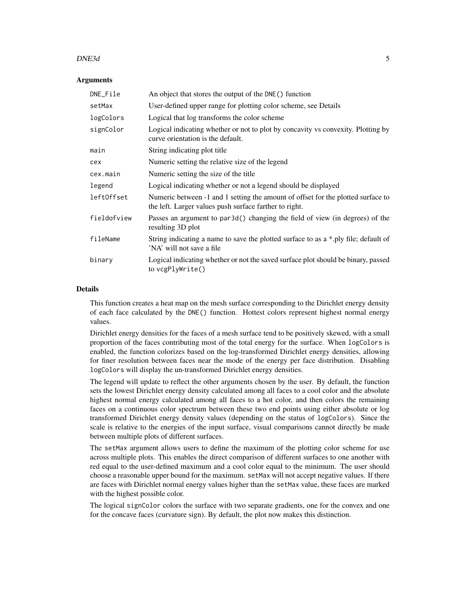#### $DNE3d$  5

#### **Arguments**

| DNE_File    | An object that stores the output of the DNE() function                                                                                     |
|-------------|--------------------------------------------------------------------------------------------------------------------------------------------|
| setMax      | User-defined upper range for plotting color scheme, see Details                                                                            |
| logColors   | Logical that log transforms the color scheme                                                                                               |
| signColor   | Logical indicating whether or not to plot by concavity vs convexity. Plotting by<br>curve orientation is the default.                      |
| main        | String indicating plot title                                                                                                               |
| cex         | Numeric setting the relative size of the legend                                                                                            |
| cex.main    | Numeric setting the size of the title                                                                                                      |
| legend      | Logical indicating whether or not a legend should be displayed                                                                             |
| left0ffset  | Numeric between -1 and 1 setting the amount of offset for the plotted surface to<br>the left. Larger values push surface farther to right. |
| fieldofview | Passes an argument to par3d() changing the field of view (in degrees) of the<br>resulting 3D plot                                          |
| fileName    | String indicating a name to save the plotted surface to as a *.ply file; default of<br>'NA' will not save a file                           |
| binary      | Logical indicating whether or not the saved surface plot should be binary, passed<br>to vcgPlyWrite()                                      |

#### Details

This function creates a heat map on the mesh surface corresponding to the Dirichlet energy density of each face calculated by the DNE() function. Hottest colors represent highest normal energy values.

Dirichlet energy densities for the faces of a mesh surface tend to be positively skewed, with a small proportion of the faces contributing most of the total energy for the surface. When logColors is enabled, the function colorizes based on the log-transformed Dirichlet energy densities, allowing for finer resolution between faces near the mode of the energy per face distribution. Disabling logColors will display the un-transformed Dirichlet energy densities.

The legend will update to reflect the other arguments chosen by the user. By default, the function sets the lowest Dirichlet energy density calculated among all faces to a cool color and the absolute highest normal energy calculated among all faces to a hot color, and then colors the remaining faces on a continuous color spectrum between these two end points using either absolute or log transformed Dirichlet energy density values (depending on the status of logColors). Since the scale is relative to the energies of the input surface, visual comparisons cannot directly be made between multiple plots of different surfaces.

The setMax argument allows users to define the maximum of the plotting color scheme for use across multiple plots. This enables the direct comparison of different surfaces to one another with red equal to the user-defined maximum and a cool color equal to the minimum. The user should choose a reasonable upper bound for the maximum. setMax will not accept negative values. If there are faces with Dirichlet normal energy values higher than the setMax value, these faces are marked with the highest possible color.

The logical signColor colors the surface with two separate gradients, one for the convex and one for the concave faces (curvature sign). By default, the plot now makes this distinction.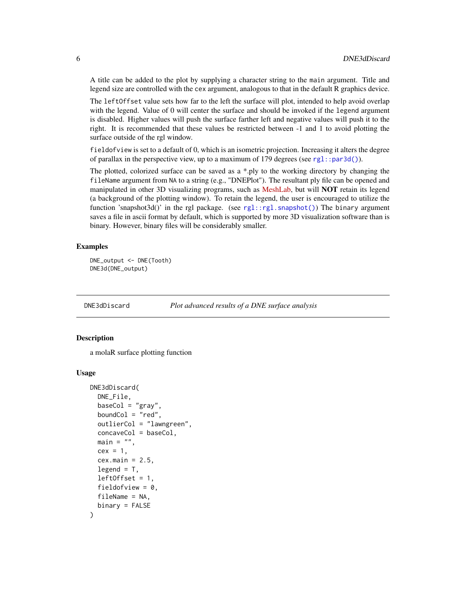A title can be added to the plot by supplying a character string to the main argument. Title and legend size are controlled with the cex argument, analogous to that in the default R graphics device.

The leftOffset value sets how far to the left the surface will plot, intended to help avoid overlap with the legend. Value of 0 will center the surface and should be invoked if the legend argument is disabled. Higher values will push the surface farther left and negative values will push it to the right. It is recommended that these values be restricted between -1 and 1 to avoid plotting the surface outside of the rgl window.

fieldofview is set to a default of 0, which is an isometric projection. Increasing it alters the degree of parallax in the perspective view, up to a maximum of 179 degrees (see  $rgl::par3d()$ ).

The plotted, colorized surface can be saved as a \*.ply to the working directory by changing the fileName argument from NA to a string (e.g., "DNEPlot"). The resultant ply file can be opened and manipulated in other 3D visualizing programs, such as [MeshLab,](https://www.meshlab.net/) but will **NOT** retain its legend (a background of the plotting window). To retain the legend, the user is encouraged to utilize the function 'snapshot3d()' in the rgl package. (see [rgl::rgl.snapshot\(\)](#page-0-0)) The binary argument saves a file in ascii format by default, which is supported by more 3D visualization software than is binary. However, binary files will be considerably smaller.

### Examples

DNE\_output <- DNE(Tooth) DNE3d(DNE\_output)

DNE3dDiscard *Plot advanced results of a DNE surface analysis*

# **Description**

a molaR surface plotting function

```
DNE3dDiscard(
  DNE_File,
  baseCol = "gray",boundCol = "red",outlierCol = "lawngreen",
  concaveCol = baseCol,
  main = "",cex = 1,
  cex.mainloop = 2.5,
  legend = T,
  leftOffset = 1,
  fieldofview = 0.
  fileName = NA,
  binary = FALSE
)
```
<span id="page-5-0"></span>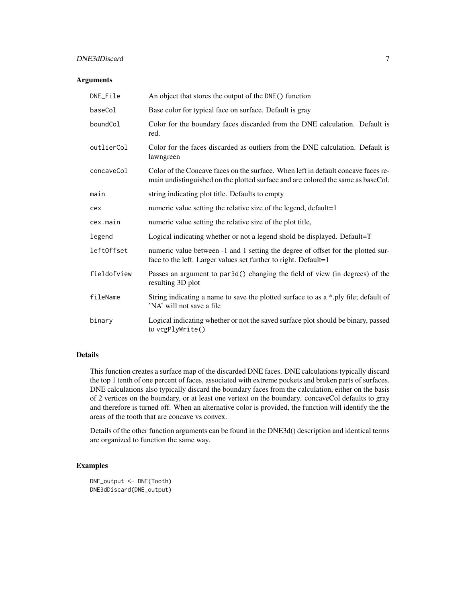# DNE3dDiscard 7

# Arguments

| DNE_File    | An object that stores the output of the DNE() function                                                                                                                |
|-------------|-----------------------------------------------------------------------------------------------------------------------------------------------------------------------|
| baseCol     | Base color for typical face on surface. Default is gray                                                                                                               |
| boundCol    | Color for the boundary faces discarded from the DNE calculation. Default is<br>red.                                                                                   |
| outlierCol  | Color for the faces discarded as outliers from the DNE calculation. Default is<br>lawngreen                                                                           |
| concaveCol  | Color of the Concave faces on the surface. When left in default concave faces re-<br>main undistinguished on the plotted surface and are colored the same as baseCol. |
| main        | string indicating plot title. Defaults to empty                                                                                                                       |
| cex         | numeric value setting the relative size of the legend, default=1                                                                                                      |
| cex.main    | numeric value setting the relative size of the plot title,                                                                                                            |
| legend      | Logical indicating whether or not a legend shold be displayed. Default=T                                                                                              |
| left0ffset  | numeric value between -1 and 1 setting the degree of offset for the plotted sur-<br>face to the left. Larger values set further to right. Default=1                   |
| fieldofview | Passes an argument to par3d() changing the field of view (in degrees) of the<br>resulting 3D plot                                                                     |
| fileName    | String indicating a name to save the plotted surface to as a *.ply file; default of<br>'NA' will not save a file                                                      |
| binary      | Logical indicating whether or not the saved surface plot should be binary, passed<br>to vcgPlyWrite()                                                                 |

# Details

This function creates a surface map of the discarded DNE faces. DNE calculations typically discard the top 1 tenth of one percent of faces, associated with extreme pockets and broken parts of surfaces. DNE calculations also typically discard the boundary faces from the calculation, either on the basis of 2 vertices on the boundary, or at least one vertext on the boundary. concaveCol defaults to gray and therefore is turned off. When an alternative color is provided, the function will identify the the areas of the tooth that are concave vs convex.

Details of the other function arguments can be found in the DNE3d() description and identical terms are organized to function the same way.

# Examples

```
DNE_output <- DNE(Tooth)
DNE3dDiscard(DNE_output)
```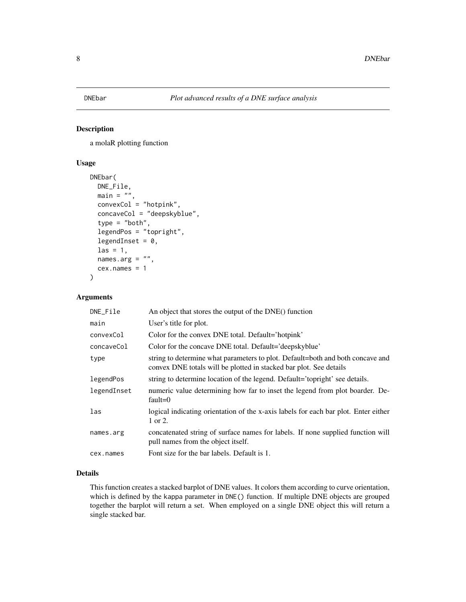<span id="page-7-0"></span>

#### Description

a molaR plotting function

# Usage

```
DNEbar(
 DNE_File,
 main = "",convexCol = "hotpink",
  concaveCol = "deepskyblue",
  type = "both",legendPos = "topright",
  legendInset = 0,
  \text{las} = 1,
 names.arg = ",
  cex.name = 1)
```
# Arguments

| DNE_File    | An object that stores the output of the DNE() function                                                                                               |
|-------------|------------------------------------------------------------------------------------------------------------------------------------------------------|
| main        | User's title for plot.                                                                                                                               |
| convexCol   | Color for the convex DNE total. Default='hotpink'                                                                                                    |
| concaveCol  | Color for the concave DNE total. Default='deepskyblue'                                                                                               |
| type        | string to determine what parameters to plot. Default=both and both concave and<br>convex DNE totals will be plotted in stacked bar plot. See details |
| legendPos   | string to determine location of the legend. Default='topright' see details.                                                                          |
| legendInset | numeric value determining how far to inset the legend from plot boarder. De-<br>fault= $0$                                                           |
| las         | logical indicating orientation of the x-axis labels for each bar plot. Enter either<br>1 or 2.                                                       |
| names.arg   | concatenated string of surface names for labels. If none supplied function will<br>pull names from the object itself.                                |
| cex.names   | Font size for the bar labels. Default is 1.                                                                                                          |
|             |                                                                                                                                                      |

# Details

This function creates a stacked barplot of DNE values. It colors them according to curve orientation, which is defined by the kappa parameter in DNE() function. If multiple DNE objects are grouped together the barplot will return a set. When employed on a single DNE object this will return a single stacked bar.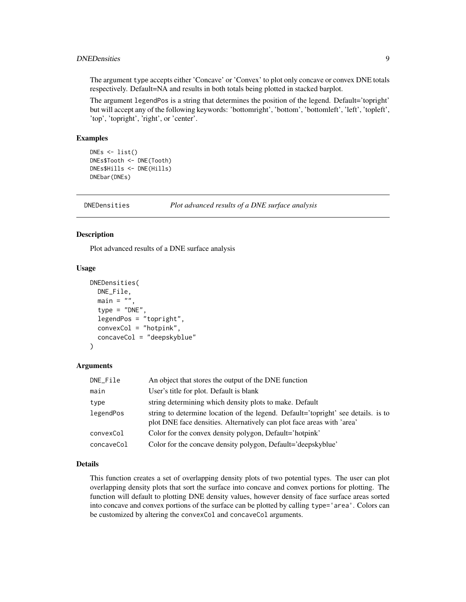# <span id="page-8-0"></span>DNEDensities 9

The argument type accepts either 'Concave' or 'Convex' to plot only concave or convex DNE totals respectively. Default=NA and results in both totals being plotted in stacked barplot.

The argument legendPos is a string that determines the position of the legend. Default='topright' but will accept any of the following keywords: 'bottomright', 'bottom', 'bottomleft', 'left', 'topleft', 'top', 'topright', 'right', or 'center'.

# Examples

```
DNES < - list()DNEs$Tooth <- DNE(Tooth)
DNEs$Hills <- DNE(Hills)
DNEbar(DNEs)
```
DNEDensities *Plot advanced results of a DNE surface analysis*

#### Description

Plot advanced results of a DNE surface analysis

#### Usage

```
DNEDensities(
 DNE_File,
  main = ""type = "DNE",
  legendPos = "topright",
  convexCol = "hotpink",
  concaveCol = "deepskyblue"
)
```
#### Arguments

| DNE_File   | An object that stores the output of the DNE function                                                                                                        |
|------------|-------------------------------------------------------------------------------------------------------------------------------------------------------------|
| main       | User's title for plot. Default is blank                                                                                                                     |
| type       | string determining which density plots to make. Default                                                                                                     |
| legendPos  | string to determine location of the legend. Default='topright' see details. is to<br>plot DNE face densities. Alternatively can plot face areas with 'area' |
| convexCol  | Color for the convex density polygon, Default='hotpink'                                                                                                     |
| concaveCol | Color for the concave density polygon, Default='deepskyblue'                                                                                                |

#### Details

This function creates a set of overlapping density plots of two potential types. The user can plot overlapping density plots that sort the surface into concave and convex portions for plotting. The function will default to plotting DNE density values, however density of face surface areas sorted into concave and convex portions of the surface can be plotted by calling type='area'. Colors can be customized by altering the convexCol and concaveCol arguments.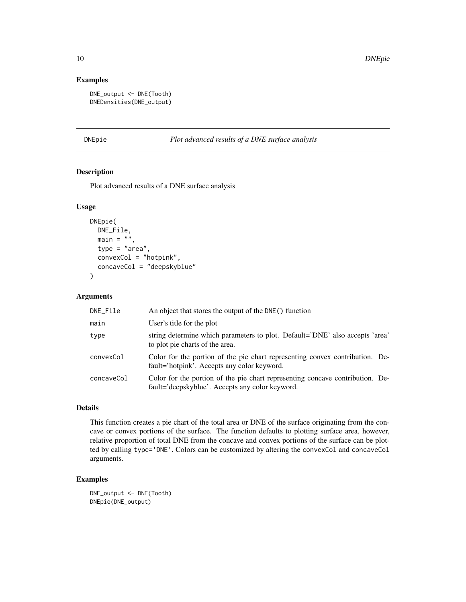# Examples

```
DNE_output <- DNE(Tooth)
DNEDensities(DNE_output)
```
# DNEpie *Plot advanced results of a DNE surface analysis*

# Description

Plot advanced results of a DNE surface analysis

#### Usage

```
DNEpie(
  DNE_File,
  main = "",type = "area",
  convexCol = "hotpink",
  concaveCol = "deepskyblue"
\mathcal{L}
```
# Arguments

| DNE_File   | An object that stores the output of the DNE() function                                                                           |
|------------|----------------------------------------------------------------------------------------------------------------------------------|
| main       | User's title for the plot                                                                                                        |
| type       | string determine which parameters to plot. Default='DNE' also accepts 'area'<br>to plot pie charts of the area.                  |
| convexCol  | Color for the portion of the pie chart representing convex contribution. De-<br>fault='hotpink'. Accepts any color keyword.      |
| concaveCol | Color for the portion of the pie chart representing concave contribution. De-<br>fault='deepskyblue'. Accepts any color keyword. |

# Details

This function creates a pie chart of the total area or DNE of the surface originating from the concave or convex portions of the surface. The function defaults to plotting surface area, however, relative proportion of total DNE from the concave and convex portions of the surface can be plotted by calling type='DNE'. Colors can be customized by altering the convexCol and concaveCol arguments.

#### Examples

DNE\_output <- DNE(Tooth) DNEpie(DNE\_output)

<span id="page-9-0"></span>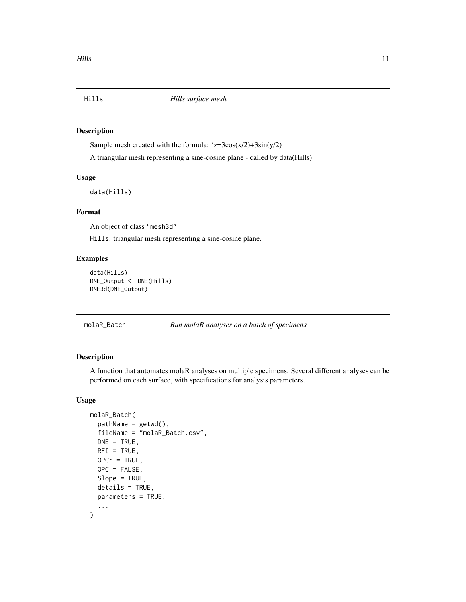<span id="page-10-0"></span>

#### Description

Sample mesh created with the formula:  $z=3\cos(x/2)+3\sin(y/2)$ A triangular mesh representing a sine-cosine plane - called by data(Hills)

#### Usage

data(Hills)

# Format

An object of class "mesh3d"

Hills: triangular mesh representing a sine-cosine plane.

# Examples

```
data(Hills)
DNE_Output <- DNE(Hills)
DNE3d(DNE_Output)
```
molaR\_Batch *Run molaR analyses on a batch of specimens*

#### Description

A function that automates molaR analyses on multiple specimens. Several different analyses can be performed on each surface, with specifications for analysis parameters.

```
molaR_Batch(
  pathName = getwd(),
  fileName = "molaR_Batch.csv",
 DNE = TRUE,RFI = TRUE,OPCr = TRUE,OPC = FALSE,
  Slope = TRUE,
  details = TRUE,parameters = TRUE,
  ...
\mathcal{E}
```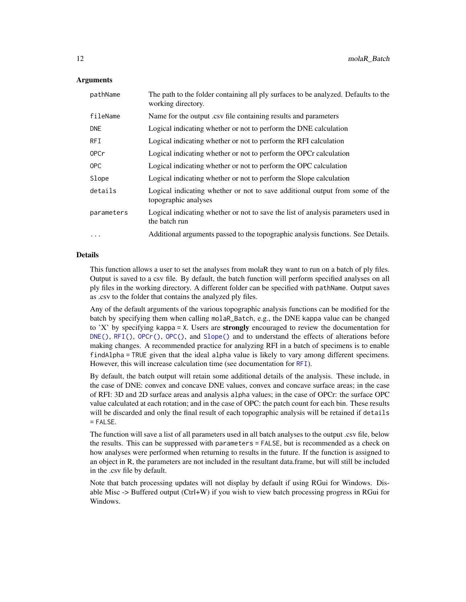#### <span id="page-11-0"></span>Arguments

| pathName    | The path to the folder containing all ply surfaces to be analyzed. Defaults to the<br>working directory. |
|-------------|----------------------------------------------------------------------------------------------------------|
| fileName    | Name for the output .csv file containing results and parameters                                          |
| <b>DNE</b>  | Logical indicating whether or not to perform the DNE calculation                                         |
| <b>RFI</b>  | Logical indicating whether or not to perform the RFI calculation                                         |
| <b>OPCr</b> | Logical indicating whether or not to perform the OPCr calculation                                        |
| OPC         | Logical indicating whether or not to perform the OPC calculation                                         |
| Slope       | Logical indicating whether or not to perform the Slope calculation                                       |
| details     | Logical indicating whether or not to save additional output from some of the<br>topographic analyses     |
| parameters  | Logical indicating whether or not to save the list of analysis parameters used in<br>the batch run       |
| $\ddotsc$   | Additional arguments passed to the topographic analysis functions. See Details.                          |

# Details

This function allows a user to set the analyses from molaR they want to run on a batch of ply files. Output is saved to a csv file. By default, the batch function will perform specified analyses on all ply files in the working directory. A different folder can be specified with pathName. Output saves as .csv to the folder that contains the analyzed ply files.

Any of the default arguments of the various topographic analysis functions can be modified for the batch by specifying them when calling molaR\_Batch, e.g., the DNE kappa value can be changed to 'X' by specifying kappa = X. Users are **strongly** encouraged to review the documentation for  $DNE()$ ,  $RFI()$ ,  $OPC()$ ,  $OPC()$ , and  $Slope()$  and to understand the effects of alterations before making changes. A recommended practice for analyzing RFI in a batch of specimens is to enable findAlpha = TRUE given that the ideal alpha value is likely to vary among different specimens. However, this will increase calculation time (see documentation for [RFI](#page-19-1)).

By default, the batch output will retain some additional details of the analysis. These include, in the case of DNE: convex and concave DNE values, convex and concave surface areas; in the case of RFI: 3D and 2D surface areas and analysis alpha values; in the case of OPCr: the surface OPC value calculated at each rotation; and in the case of OPC: the patch count for each bin. These results will be discarded and only the final result of each topographic analysis will be retained if details  $=$  FALSE.

The function will save a list of all parameters used in all batch analyses to the output .csv file, below the results. This can be suppressed with parameters = FALSE, but is recommended as a check on how analyses were performed when returning to results in the future. If the function is assigned to an object in R, the parameters are not included in the resultant data.frame, but will still be included in the .csv file by default.

Note that batch processing updates will not display by default if using RGui for Windows. Disable Misc -> Buffered output (Ctrl+W) if you wish to view batch processing progress in RGui for Windows.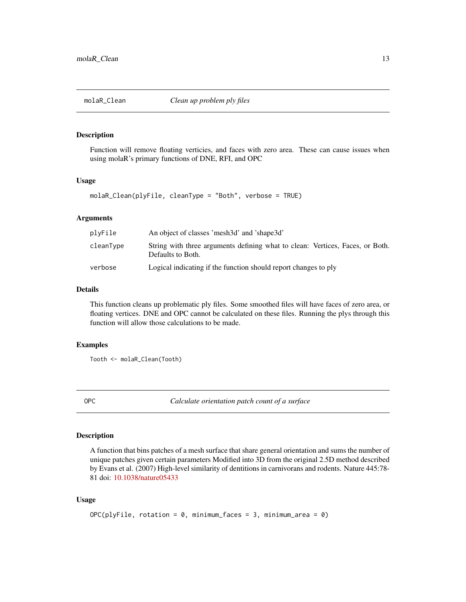<span id="page-12-2"></span><span id="page-12-0"></span>

# Description

Function will remove floating verticies, and faces with zero area. These can cause issues when using molaR's primary functions of DNE, RFI, and OPC

#### Usage

```
molaR_Clean(plyFile, cleanType = "Both", verbose = TRUE)
```
#### Arguments

| plyFile   | An object of classes 'mesh3d' and 'shape3d'                                                        |
|-----------|----------------------------------------------------------------------------------------------------|
| cleanType | String with three arguments defining what to clean: Vertices, Faces, or Both.<br>Defaults to Both. |
| verbose   | Logical indicating if the function should report changes to ply                                    |

# Details

This function cleans up problematic ply files. Some smoothed files will have faces of zero area, or floating vertices. DNE and OPC cannot be calculated on these files. Running the plys through this function will allow those calculations to be made.

#### Examples

Tooth <- molaR\_Clean(Tooth)

<span id="page-12-1"></span>OPC *Calculate orientation patch count of a surface*

#### Description

A function that bins patches of a mesh surface that share general orientation and sums the number of unique patches given certain parameters Modified into 3D from the original 2.5D method described by Evans et al. (2007) High-level similarity of dentitions in carnivorans and rodents. Nature 445:78- 81 doi: [10.1038/nature05433](https://www.nature.com/articles/nature05433)

```
OPC(plyFile, rotation = 0, minimum_faces = 3, minimum_area = 0)
```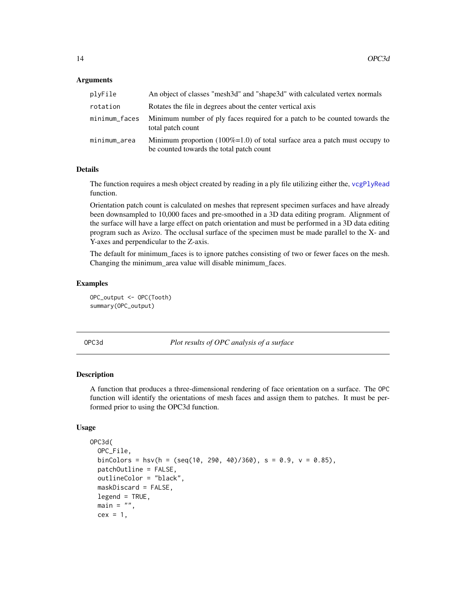#### <span id="page-13-0"></span>**Arguments**

| plyFile       | An object of classes "mesh3d" and "shape3d" with calculated vertex normals                                             |
|---------------|------------------------------------------------------------------------------------------------------------------------|
| rotation      | Rotates the file in degrees about the center vertical axis                                                             |
| minimum_faces | Minimum number of ply faces required for a patch to be counted towards the<br>total patch count                        |
| minimum_area  | Minimum proportion (100%=1.0) of total surface area a patch must occupy to<br>be counted towards the total patch count |

# Details

The function requires a mesh object created by reading in a ply file utilizing either the, [vcgPlyRead](#page-0-0) function.

Orientation patch count is calculated on meshes that represent specimen surfaces and have already been downsampled to 10,000 faces and pre-smoothed in a 3D data editing program. Alignment of the surface will have a large effect on patch orientation and must be performed in a 3D data editing program such as Avizo. The occlusal surface of the specimen must be made parallel to the X- and Y-axes and perpendicular to the Z-axis.

The default for minimum\_faces is to ignore patches consisting of two or fewer faces on the mesh. Changing the minimum\_area value will disable minimum\_faces.

#### Examples

OPC\_output <- OPC(Tooth) summary(OPC\_output)

OPC3d *Plot results of OPC analysis of a surface*

# **Description**

A function that produces a three-dimensional rendering of face orientation on a surface. The OPC function will identify the orientations of mesh faces and assign them to patches. It must be performed prior to using the OPC3d function.

```
OPC3d(
  OPC_File,
  binColors = hsv(h = (seq(10, 290, 40)/360), s = 0.9, v = 0.85),
  patchOutline = FALSE,
  outlineColor = "black",
  maskDiscard = FALSE,
  legend = TRUE,main = "",cex = 1,
```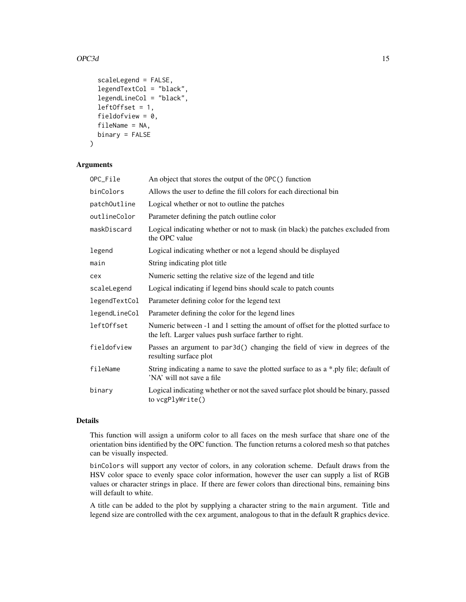### $OPC3d$  and  $15$

```
scaleLegend = FALSE,
legendTextCol = "black",
legendLineCol = "black",
leftOffset = 1,
fieldofview = 0,
fileName = NA,
binary = FALSE
```
#### Arguments

)

| OPC_File      | An object that stores the output of the OPC() function                                                                                     |
|---------------|--------------------------------------------------------------------------------------------------------------------------------------------|
| binColors     | Allows the user to define the fill colors for each directional bin                                                                         |
| patchOutline  | Logical whether or not to outline the patches                                                                                              |
| outlineColor  | Parameter defining the patch outline color                                                                                                 |
| maskDiscard   | Logical indicating whether or not to mask (in black) the patches excluded from<br>the OPC value                                            |
| legend        | Logical indicating whether or not a legend should be displayed                                                                             |
| main          | String indicating plot title                                                                                                               |
| cex           | Numeric setting the relative size of the legend and title                                                                                  |
| scaleLegend   | Logical indicating if legend bins should scale to patch counts                                                                             |
| legendTextCol | Parameter defining color for the legend text                                                                                               |
| legendLineCol | Parameter defining the color for the legend lines                                                                                          |
| left0ffset    | Numeric between -1 and 1 setting the amount of offset for the plotted surface to<br>the left. Larger values push surface farther to right. |
| fieldofview   | Passes an argument to par3d() changing the field of view in degrees of the<br>resulting surface plot                                       |
| fileName      | String indicating a name to save the plotted surface to as a *.ply file; default of<br>'NA' will not save a file                           |
| binary        | Logical indicating whether or not the saved surface plot should be binary, passed<br>to vcgPlyWrite()                                      |

#### Details

This function will assign a uniform color to all faces on the mesh surface that share one of the orientation bins identified by the OPC function. The function returns a colored mesh so that patches can be visually inspected.

binColors will support any vector of colors, in any coloration scheme. Default draws from the HSV color space to evenly space color information, however the user can supply a list of RGB values or character strings in place. If there are fewer colors than directional bins, remaining bins will default to white.

A title can be added to the plot by supplying a character string to the main argument. Title and legend size are controlled with the cex argument, analogous to that in the default R graphics device.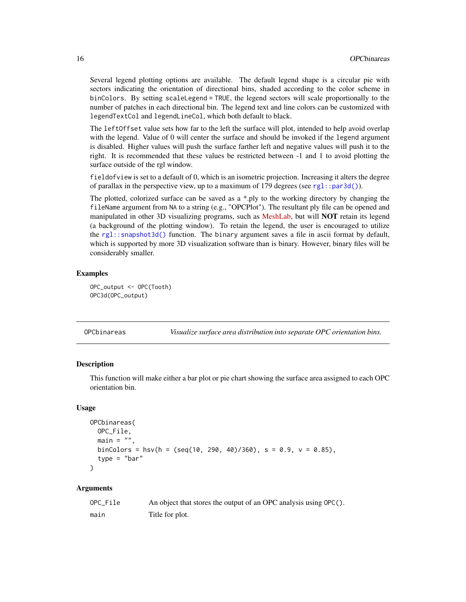Several legend plotting options are available. The default legend shape is a circular pie with sectors indicating the orientation of directional bins, shaded according to the color scheme in binColors. By setting scaleLegend = TRUE, the legend sectors will scale proportionally to the number of patches in each directional bin. The legend text and line colors can be customized with legendTextCol and legendLineCol, which both default to black.

The leftOffset value sets how far to the left the surface will plot, intended to help avoid overlap with the legend. Value of 0 will center the surface and should be invoked if the legend argument is disabled. Higher values will push the surface farther left and negative values will push it to the right. It is recommended that these values be restricted between -1 and 1 to avoid plotting the surface outside of the rgl window.

fieldofview is set to a default of 0, which is an isometric projection. Increasing it alters the degree of parallax in the perspective view, up to a maximum of 179 degrees (see [rgl::par3d\(\)](#page-0-0)).

The plotted, colorized surface can be saved as a \*.ply to the working directory by changing the fileName argument from NA to a string (e.g., "OPCPlot"). The resultant ply file can be opened and manipulated in other 3D visualizing programs, such as [MeshLab,](https://www.meshlab.net/) but will **NOT** retain its legend (a background of the plotting window). To retain the legend, the user is encouraged to utilize the [rgl::snapshot3d\(\)](#page-0-0) function. The binary argument saves a file in ascii format by default, which is supported by more 3D visualization software than is binary. However, binary files will be considerably smaller.

#### Examples

```
OPC_output <- OPC(Tooth)
OPC3d(OPC_output)
```

| OPCbinareas | Visualize surface area distribution into separate OPC orientation bins. |  |
|-------------|-------------------------------------------------------------------------|--|
|             |                                                                         |  |

#### Description

This function will make either a bar plot or pie chart showing the surface area assigned to each OPC orientation bin.

#### Usage

```
OPCbinareas(
  OPC_File,
  main = "".binColors = hsv(h = (seq(10, 290, 40)/360), s = 0.9, v = 0.85),
  type = "bar")
```
#### Arguments

| OPC File | An object that stores the output of an OPC analysis using OPC(). |
|----------|------------------------------------------------------------------|
| main     | Title for plot.                                                  |

<span id="page-15-0"></span>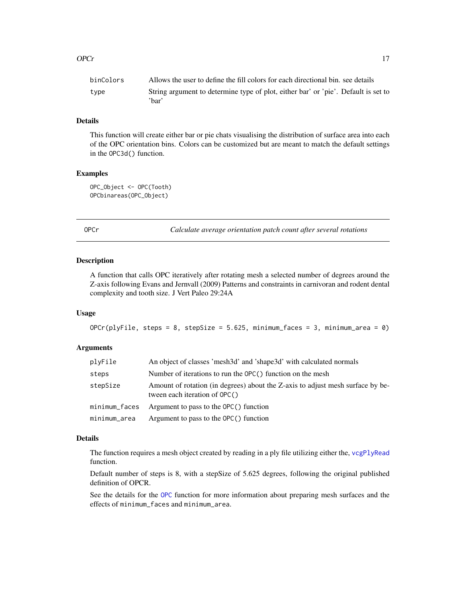<span id="page-16-0"></span>

| binColors | Allows the user to define the fill colors for each directional bin, see details             |
|-----------|---------------------------------------------------------------------------------------------|
| type      | String argument to determine type of plot, either bar' or 'pie'. Default is set to<br>'har' |

# Details

This function will create either bar or pie chats visualising the distribution of surface area into each of the OPC orientation bins. Colors can be customized but are meant to match the default settings in the OPC3d() function.

#### Examples

OPC\_Object <- OPC(Tooth) OPCbinareas(OPC\_Object)

<span id="page-16-1"></span>OPCr *Calculate average orientation patch count after several rotations*

#### Description

A function that calls OPC iteratively after rotating mesh a selected number of degrees around the Z-axis following Evans and Jernvall (2009) Patterns and constraints in carnivoran and rodent dental complexity and tooth size. J Vert Paleo 29:24A

# Usage

```
OPCr(plyFile, steps = 8, stepSize = 5.625, minimum_faces = 3, minimum_area = 0)
```
# Arguments

| plyFile       | An object of classes 'mesh3d' and 'shape3d' with calculated normals                                             |
|---------------|-----------------------------------------------------------------------------------------------------------------|
| steps         | Number of iterations to run the OPC() function on the mesh                                                      |
| stepSize      | Amount of rotation (in degrees) about the Z-axis to adjust mesh surface by be-<br>tween each iteration of OPC() |
| minimum_faces | Argument to pass to the $OPC()$ function                                                                        |
| minimum_area  | Argument to pass to the $OPC()$ function                                                                        |

# Details

The function requires a mesh object created by reading in a ply file utilizing either the, [vcgPlyRead](#page-0-0) function.

Default number of steps is 8, with a stepSize of 5.625 degrees, following the original published definition of OPCR.

See the details for the [OPC](#page-12-1) function for more information about preparing mesh surfaces and the effects of minimum\_faces and minimum\_area.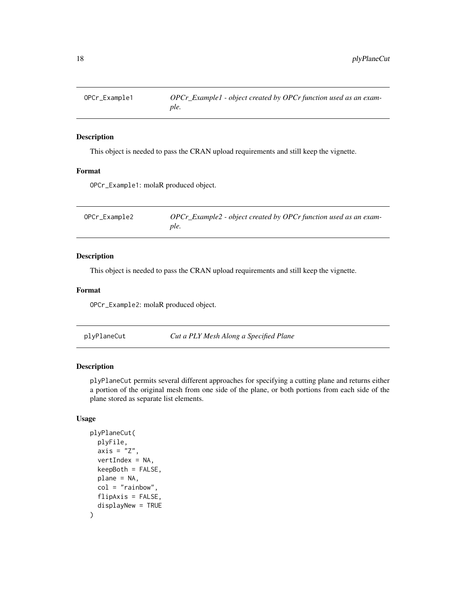<span id="page-17-0"></span>

# Description

This object is needed to pass the CRAN upload requirements and still keep the vignette.

# Format

OPCr\_Example1: molaR produced object.

| OPCr_Example2 | OPCr_Example2 - object created by OPCr function used as an exam- |
|---------------|------------------------------------------------------------------|
|               | ple.                                                             |

#### Description

This object is needed to pass the CRAN upload requirements and still keep the vignette.

#### Format

OPCr\_Example2: molaR produced object.

plyPlaneCut *Cut a PLY Mesh Along a Specified Plane*

# Description

plyPlaneCut permits several different approaches for specifying a cutting plane and returns either a portion of the original mesh from one side of the plane, or both portions from each side of the plane stored as separate list elements.

```
plyPlaneCut(
 plyFile,
  axis = "Z",vertIndex = NA,
  keepBoth = FALSE,
 plane = NA,
  col = "rainbow",flipAxis = FALSE,
  displayNew = TRUE
)
```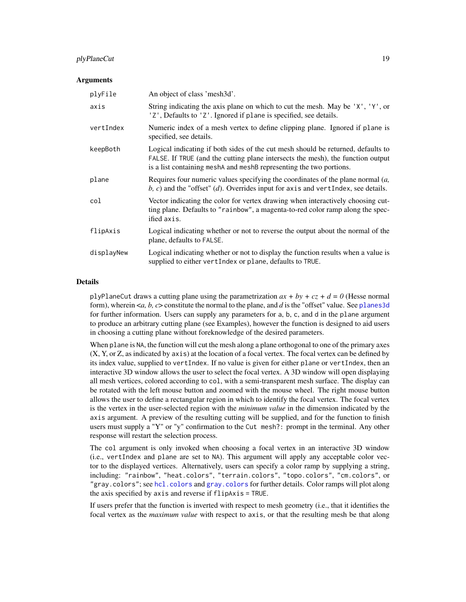# <span id="page-18-0"></span>plyPlaneCut 19

#### Arguments

| plyFile    | An object of class 'mesh3d'.                                                                                                                                                                                                               |
|------------|--------------------------------------------------------------------------------------------------------------------------------------------------------------------------------------------------------------------------------------------|
| axis       | String indicating the axis plane on which to cut the mesh. May be 'X', 'Y', or<br>'Z', Defaults to 'Z'. Ignored if plane is specified, see details.                                                                                        |
| vertIndex  | Numeric index of a mesh vertex to define clipping plane. Ignored if plane is<br>specified, see details.                                                                                                                                    |
| keepBoth   | Logical indicating if both sides of the cut mesh should be returned, defaults to<br>FALSE. If TRUE (and the cutting plane intersects the mesh), the function output<br>is a list containing meshA and meshB representing the two portions. |
| plane      | Requires four numeric values specifying the coordinates of the plane normal $(a, a)$<br>b, c) and the "offset" (d). Overrides input for axis and vertindex, see details.                                                                   |
| col        | Vector indicating the color for vertex drawing when interactively choosing cut-<br>ting plane. Defaults to "rainbow", a magenta-to-red color ramp along the spec-<br>ified axis.                                                           |
| flipAxis   | Logical indicating whether or not to reverse the output about the normal of the<br>plane, defaults to FALSE.                                                                                                                               |
| displayNew | Logical indicating whether or not to display the function results when a value is<br>supplied to either vertIndex or plane, defaults to TRUE.                                                                                              |

#### Details

plyPlaneCut draws a cutting plane using the parametrization  $ax + by + cz + d = 0$  (Hesse normal form), wherein <*a, b, c*> constitute the normal to the plane, and *d* is the "offset" value. See [planes3d](#page-0-0) for further information. Users can supply any parameters for a, b, c, and d in the plane argument to produce an arbitrary cutting plane (see Examples), however the function is designed to aid users in choosing a cutting plane without foreknowledge of the desired parameters.

When plane is NA, the function will cut the mesh along a plane orthogonal to one of the primary axes (X, Y, or Z, as indicated by axis) at the location of a focal vertex. The focal vertex can be defined by its index value, supplied to vertIndex. If no value is given for either plane or vertIndex, then an interactive 3D window allows the user to select the focal vertex. A 3D window will open displaying all mesh vertices, colored according to col, with a semi-transparent mesh surface. The display can be rotated with the left mouse button and zoomed with the mouse wheel. The right mouse button allows the user to define a rectangular region in which to identify the focal vertex. The focal vertex is the vertex in the user-selected region with the *minimum value* in the dimension indicated by the axis argument. A preview of the resulting cutting will be supplied, and for the function to finish users must supply a "Y" or "y" confirmation to the Cut mesh?: prompt in the terminal. Any other response will restart the selection process.

The col argument is only invoked when choosing a focal vertex in an interactive 3D window (i.e., vertIndex and plane are set to NA). This argument will apply any acceptable color vector to the displayed vertices. Alternatively, users can specify a color ramp by supplying a string, including: "rainbow", "heat.colors", "terrain.colors", "topo.colors", "cm.colors", or "gray.colors"; see [hcl.colors](#page-0-0) and [gray.colors](#page-0-0) for further details. Color ramps will plot along the axis specified by axis and reverse if flipAxis = TRUE.

If users prefer that the function is inverted with respect to mesh geometry (i.e., that it identifies the focal vertex as the *maximum value* with respect to axis, or that the resulting mesh be that along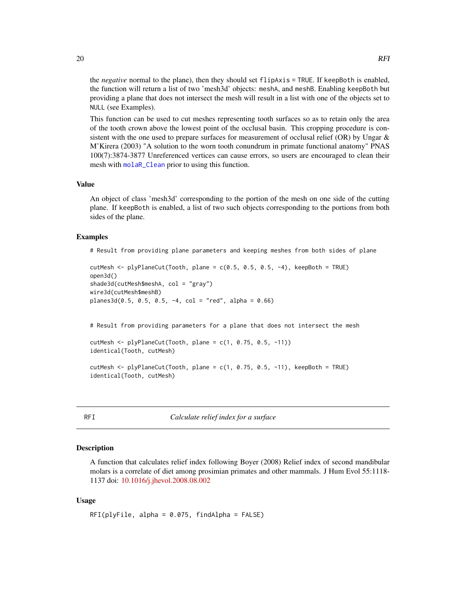<span id="page-19-0"></span>the *negative* normal to the plane), then they should set flipAxis = TRUE. If keepBoth is enabled, the function will return a list of two 'mesh3d' objects: meshA, and meshB. Enabling keepBoth but providing a plane that does not intersect the mesh will result in a list with one of the objects set to NULL (see Examples).

This function can be used to cut meshes representing tooth surfaces so as to retain only the area of the tooth crown above the lowest point of the occlusal basin. This cropping procedure is consistent with the one used to prepare surfaces for measurement of occlusal relief (OR) by Ungar  $\&$ M'Kirera (2003) "A solution to the worn tooth conundrum in primate functional anatomy" PNAS 100(7):3874-3877 Unreferenced vertices can cause errors, so users are encouraged to clean their mesh with [molaR\\_Clean](#page-12-2) prior to using this function.

#### Value

An object of class 'mesh3d' corresponding to the portion of the mesh on one side of the cutting plane. If keepBoth is enabled, a list of two such objects corresponding to the portions from both sides of the plane.

#### Examples

# Result from providing plane parameters and keeping meshes from both sides of plane

```
cutMesh <- plyPlaneCut(Tooth, plane = c(0.5, 0.5, 0.5, -4), keepBoth = TRUE)
open3d()
shade3d(cutMesh$meshA, col = "gray")
wire3d(cutMesh$meshB)
planes3d(0.5, 0.5, 0.5, -4, col = "red", alpha = 0.66)
```
# Result from providing parameters for a plane that does not intersect the mesh

 $cutMesh \leftarrow plyPlaneCut(Tooth, plane = c(1, 0.75, 0.5, -11))$ identical(Tooth, cutMesh)

cutMesh  $\leq$  plyPlaneCut(Tooth, plane = c(1, 0.75, 0.5, -11), keepBoth = TRUE) identical(Tooth, cutMesh)

<span id="page-19-1"></span>RFI *Calculate relief index for a surface*

#### Description

A function that calculates relief index following Boyer (2008) Relief index of second mandibular molars is a correlate of diet among prosimian primates and other mammals. J Hum Evol 55:1118- 1137 doi: [10.1016/j.jhevol.2008.08.002](https://www.sciencedirect.com/science/article/pii/S0047248408001565)

```
RFI(plyFile, alpha = 0.075, findAlpha = FALSE)
```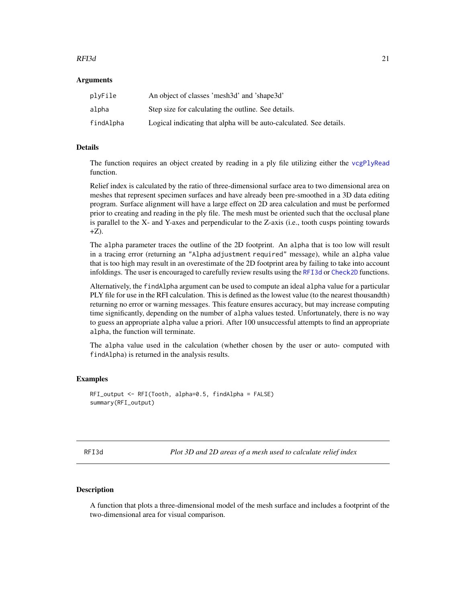#### <span id="page-20-0"></span> $RFI3d$  21

#### **Arguments**

| plyFile   | An object of classes 'mesh3d' and 'shape3d'                         |
|-----------|---------------------------------------------------------------------|
| alpha     | Step size for calculating the outline. See details.                 |
| findAlpha | Logical indicating that alpha will be auto-calculated. See details. |

# Details

The function requires an object created by reading in a ply file utilizing either the [vcgPlyRead](#page-0-0) function.

Relief index is calculated by the ratio of three-dimensional surface area to two dimensional area on meshes that represent specimen surfaces and have already been pre-smoothed in a 3D data editing program. Surface alignment will have a large effect on 2D area calculation and must be performed prior to creating and reading in the ply file. The mesh must be oriented such that the occlusal plane is parallel to the X- and Y-axes and perpendicular to the Z-axis (i.e., tooth cusps pointing towards  $+Z$ ).

The alpha parameter traces the outline of the 2D footprint. An alpha that is too low will result in a tracing error (returning an "Alpha adjustment required" message), while an alpha value that is too high may result in an overestimate of the 2D footprint area by failing to take into account infoldings. The user is encouraged to carefully review results using the [RFI3d](#page-20-1) or [Check2D](#page-1-1) functions.

Alternatively, the findAlpha argument can be used to compute an ideal alpha value for a particular PLY file for use in the RFI calculation. This is defined as the lowest value (to the nearest thousandth) returning no error or warning messages. This feature ensures accuracy, but may increase computing time significantly, depending on the number of alpha values tested. Unfortunately, there is no way to guess an appropriate alpha value a priori. After 100 unsuccessful attempts to find an appropriate alpha, the function will terminate.

The alpha value used in the calculation (whether chosen by the user or auto- computed with findAlpha) is returned in the analysis results.

#### Examples

```
RFI_output <- RFI(Tooth, alpha=0.5, findAlpha = FALSE)
summary(RFI_output)
```
<span id="page-20-1"></span>RFI3d *Plot 3D and 2D areas of a mesh used to calculate relief index*

# Description

A function that plots a three-dimensional model of the mesh surface and includes a footprint of the two-dimensional area for visual comparison.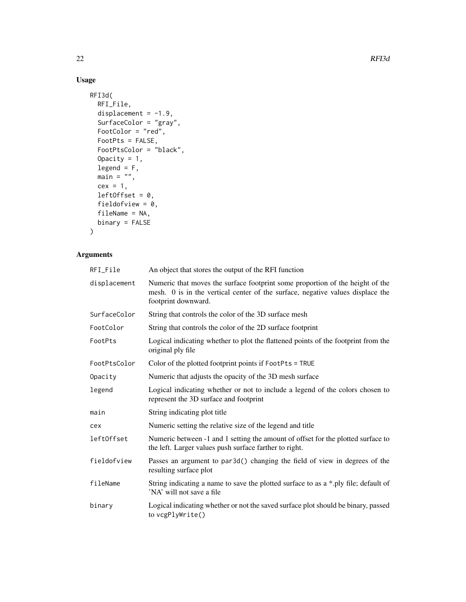# Usage

```
RFI3d(
  RFI_File,
  displacement = -1.9,
  SurfaceColor = "gray",
  FootColor = "red",
  FootPts = FALSE,
  FootPtsColor = "black",
  Opacity = 1,
  legend = F,
  main = "",cex = 1,
  leftOffset = 0,fieldofview = 0,fileName = NA,
  binary = FALSE
\mathcal{L}
```
# Arguments

| RFI_File     | An object that stores the output of the RFI function                                                                                                                                   |
|--------------|----------------------------------------------------------------------------------------------------------------------------------------------------------------------------------------|
| displacement | Numeric that moves the surface footprint some proportion of the height of the<br>mesh. 0 is in the vertical center of the surface, negative values displace the<br>footprint downward. |
| SurfaceColor | String that controls the color of the 3D surface mesh                                                                                                                                  |
| FootColor    | String that controls the color of the 2D surface footprint                                                                                                                             |
| FootPts      | Logical indicating whether to plot the flattened points of the footprint from the<br>original ply file                                                                                 |
| FootPtsColor | Color of the plotted footprint points if FootPts = TRUE                                                                                                                                |
| Opacity      | Numeric that adjusts the opacity of the 3D mesh surface                                                                                                                                |
| legend       | Logical indicating whether or not to include a legend of the colors chosen to<br>represent the 3D surface and footprint                                                                |
| main         | String indicating plot title                                                                                                                                                           |
| cex          | Numeric setting the relative size of the legend and title                                                                                                                              |
| left0ffset   | Numeric between -1 and 1 setting the amount of offset for the plotted surface to<br>the left. Larger values push surface farther to right.                                             |
| fieldofview  | Passes an argument to par3d() changing the field of view in degrees of the<br>resulting surface plot                                                                                   |
| fileName     | String indicating a name to save the plotted surface to as a *.ply file; default of<br>'NA' will not save a file                                                                       |
| binary       | Logical indicating whether or not the saved surface plot should be binary, passed<br>to vcgPlyWrite()                                                                                  |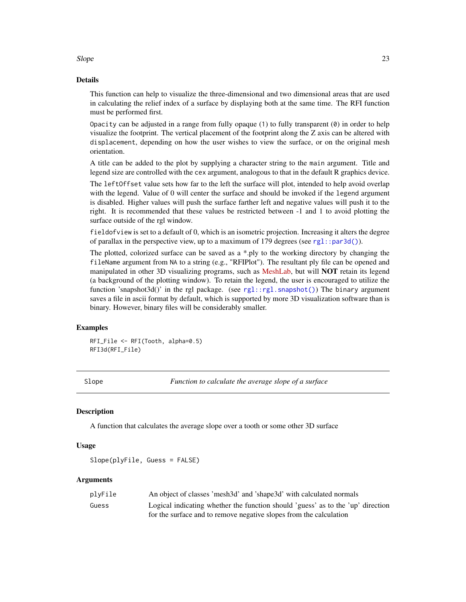<span id="page-22-0"></span> $Slope$  23

#### Details

This function can help to visualize the three-dimensional and two dimensional areas that are used in calculating the relief index of a surface by displaying both at the same time. The RFI function must be performed first.

Opacity can be adjusted in a range from fully opaque  $(1)$  to fully transparent  $(0)$  in order to help visualize the footprint. The vertical placement of the footprint along the Z axis can be altered with displacement, depending on how the user wishes to view the surface, or on the original mesh orientation.

A title can be added to the plot by supplying a character string to the main argument. Title and legend size are controlled with the cex argument, analogous to that in the default R graphics device.

The leftOffset value sets how far to the left the surface will plot, intended to help avoid overlap with the legend. Value of 0 will center the surface and should be invoked if the legend argument is disabled. Higher values will push the surface farther left and negative values will push it to the right. It is recommended that these values be restricted between -1 and 1 to avoid plotting the surface outside of the rgl window.

fieldofview is set to a default of 0, which is an isometric projection. Increasing it alters the degree of parallax in the perspective view, up to a maximum of 179 degrees (see  $rgl::par3d()$ ).

The plotted, colorized surface can be saved as  $a * p$ ly to the working directory by changing the fileName argument from NA to a string (e.g., "RFIPlot"). The resultant ply file can be opened and manipulated in other 3D visualizing programs, such as [MeshLab,](https://www.meshlab.net/) but will **NOT** retain its legend (a background of the plotting window). To retain the legend, the user is encouraged to utilize the function 'snapshot3d()' in the rgl package. (see [rgl::rgl.snapshot\(\)](#page-0-0)) The binary argument saves a file in ascii format by default, which is supported by more 3D visualization software than is binary. However, binary files will be considerably smaller.

#### Examples

RFI\_File <- RFI(Tooth, alpha=0.5) RFI3d(RFI\_File)

<span id="page-22-1"></span>Slope *Function to calculate the average slope of a surface*

#### **Description**

A function that calculates the average slope over a tooth or some other 3D surface

#### Usage

Slope(plyFile, Guess = FALSE)

#### Arguments

| plyFile | An object of classes 'mesh3d' and 'shape3d' with calculated normals             |
|---------|---------------------------------------------------------------------------------|
| Guess   | Logical indicating whether the function should 'guess' as to the 'up' direction |
|         | for the surface and to remove negative slopes from the calculation              |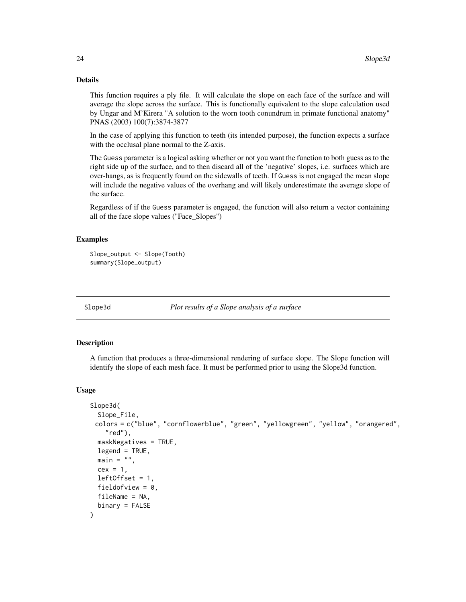# Details

This function requires a ply file. It will calculate the slope on each face of the surface and will average the slope across the surface. This is functionally equivalent to the slope calculation used by Ungar and M'Kirera "A solution to the worn tooth conundrum in primate functional anatomy" PNAS (2003) 100(7):3874-3877

In the case of applying this function to teeth (its intended purpose), the function expects a surface with the occlusal plane normal to the Z-axis.

The Guess parameter is a logical asking whether or not you want the function to both guess as to the right side up of the surface, and to then discard all of the 'negative' slopes, i.e. surfaces which are over-hangs, as is frequently found on the sidewalls of teeth. If Guess is not engaged the mean slope will include the negative values of the overhang and will likely underestimate the average slope of the surface.

Regardless of if the Guess parameter is engaged, the function will also return a vector containing all of the face slope values ("Face\_Slopes")

#### Examples

```
Slope_output <- Slope(Tooth)
summary(Slope_output)
```
Slope3d *Plot results of a Slope analysis of a surface*

# Description

A function that produces a three-dimensional rendering of surface slope. The Slope function will identify the slope of each mesh face. It must be performed prior to using the Slope3d function.

```
Slope3d(
  Slope_File,
 colors = c("blue", "cornflowerblue", "green", "yellowgreen", "yellow", "orangered",
    "red"),
  maskNegatives = TRUE,
  legend = TRUE,main = "",cex = 1.
  leftOffset = 1,
  fieldofview = 0.
  fileName = NA,
  binary = FALSE
)
```
<span id="page-23-0"></span>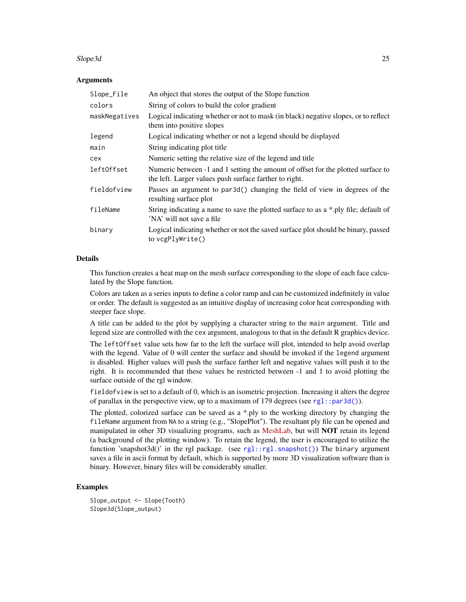#### <span id="page-24-0"></span>Slope3d 25

#### **Arguments**

| Slope_File    | An object that stores the output of the Slope function                                                                                     |
|---------------|--------------------------------------------------------------------------------------------------------------------------------------------|
| colors        | String of colors to build the color gradient                                                                                               |
| maskNegatives | Logical indicating whether or not to mask (in black) negative slopes, or to reflect<br>them into positive slopes                           |
| legend        | Logical indicating whether or not a legend should be displayed                                                                             |
| main          | String indicating plot title                                                                                                               |
| cex           | Numeric setting the relative size of the legend and title                                                                                  |
| left0ffset    | Numeric between -1 and 1 setting the amount of offset for the plotted surface to<br>the left. Larger values push surface farther to right. |
| fieldofview   | Passes an argument to par3d() changing the field of view in degrees of the<br>resulting surface plot                                       |
| fileName      | String indicating a name to save the plotted surface to as a *.ply file; default of<br>'NA' will not save a file                           |
| binary        | Logical indicating whether or not the saved surface plot should be binary, passed<br>to $vcgPlvWrite()$                                    |

#### Details

This function creates a heat map on the mesh surface corresponding to the slope of each face calculated by the Slope function.

Colors are taken as a series inputs to define a color ramp and can be customized indefinitely in value or order. The default is suggested as an intuitive display of increasing color heat corresponding with steeper face slope.

A title can be added to the plot by supplying a character string to the main argument. Title and legend size are controlled with the cex argument, analogous to that in the default R graphics device.

The leftOffset value sets how far to the left the surface will plot, intended to help avoid overlap with the legend. Value of 0 will center the surface and should be invoked if the legend argument is disabled. Higher values will push the surface farther left and negative values will push it to the right. It is recommended that these values be restricted between -1 and 1 to avoid plotting the surface outside of the rgl window.

fieldofview is set to a default of 0, which is an isometric projection. Increasing it alters the degree of parallax in the perspective view, up to a maximum of 179 degrees (see  $rgl::par3d()$ ).

The plotted, colorized surface can be saved as a \*.ply to the working directory by changing the fileName argument from NA to a string (e.g., "SlopePlot"). The resultant ply file can be opened and manipulated in other 3D visualizing programs, such as [MeshLab,](https://www.meshlab.net/) but will **NOT** retain its legend (a background of the plotting window). To retain the legend, the user is encouraged to utilize the function 'snapshot3d()' in the rgl package. (see [rgl::rgl.snapshot\(\)](#page-0-0)) The binary argument saves a file in ascii format by default, which is supported by more 3D visualization software than is binary. However, binary files will be considerably smaller.

#### Examples

Slope\_output <- Slope(Tooth) Slope3d(Slope\_output)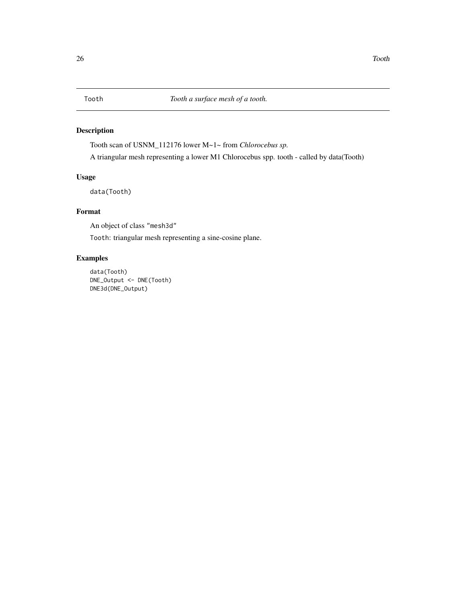<span id="page-25-0"></span>

# Description

Tooth scan of USNM\_112176 lower M~1~ from *Chlorocebus sp.* A triangular mesh representing a lower M1 Chlorocebus spp. tooth - called by data(Tooth)

# Usage

data(Tooth)

# Format

An object of class "mesh3d"

Tooth: triangular mesh representing a sine-cosine plane.

# Examples

data(Tooth) DNE\_Output <- DNE(Tooth) DNE3d(DNE\_Output)